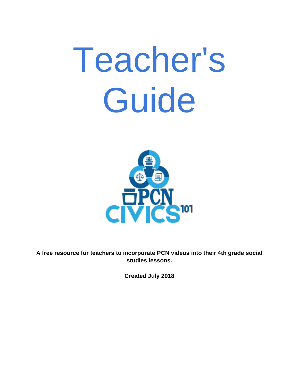# Teacher's Guide



**A free resource for teachers to incorporate PCN videos into their 4th grade social studies lessons.**

**Created July 2018**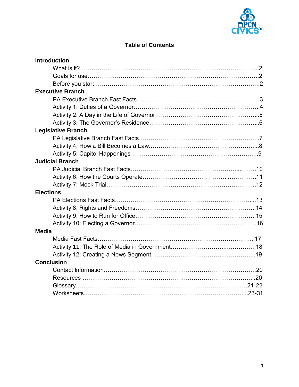

## **Table of Contents**

| <b>Introduction</b>       |  |
|---------------------------|--|
|                           |  |
|                           |  |
|                           |  |
| <b>Executive Branch</b>   |  |
|                           |  |
|                           |  |
|                           |  |
|                           |  |
| <b>Legislative Branch</b> |  |
|                           |  |
|                           |  |
|                           |  |
| <b>Judicial Branch</b>    |  |
|                           |  |
|                           |  |
|                           |  |
| <b>Elections</b>          |  |
|                           |  |
|                           |  |
|                           |  |
|                           |  |
| <b>Media</b>              |  |
|                           |  |
|                           |  |
|                           |  |
| <b>Conclusion</b>         |  |
|                           |  |
|                           |  |
|                           |  |
|                           |  |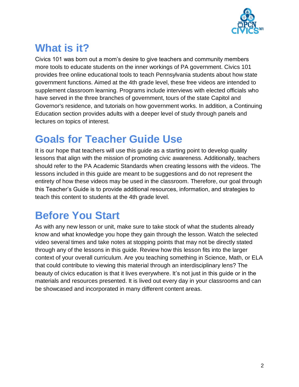

# **What is it?**

Civics 101 was born out a mom's desire to give teachers and community members more tools to educate students on the inner workings of PA government. Civics 101 provides free online educational tools to teach Pennsylvania students about how state government functions. Aimed at the 4th grade level, these free videos are intended to supplement classroom learning. Programs include interviews with elected officials who have served in the three branches of government, tours of the state Capitol and Governor's residence, and tutorials on how government works. In addition, a Continuing Education section provides adults with a deeper level of study through panels and lectures on topics of interest.

## **Goals for Teacher Guide Use**

It is our hope that teachers will use this guide as a starting point to develop quality lessons that align with the mission of promoting civic awareness. Additionally, teachers should refer to the PA Academic Standards when creating lessons with the videos. The lessons included in this guide are meant to be suggestions and do not represent the entirety of how these videos may be used in the classroom. Therefore, our goal through this Teacher's Guide is to provide additional resources, information, and strategies to teach this content to students at the 4th grade level.

# **Before You Start**

As with any new lesson or unit, make sure to take stock of what the students already know and what knowledge you hope they gain through the lesson. Watch the selected video several times and take notes at stopping points that may not be directly stated through any of the lessons in this guide. Review how this lesson fits into the larger context of your overall curriculum. Are you teaching something in Science, Math, or ELA that could contribute to viewing this material through an interdisciplinary lens? The beauty of civics education is that it lives everywhere. It's not just in this guide or in the materials and resources presented. It is lived out every day in your classrooms and can be showcased and incorporated in many different content areas.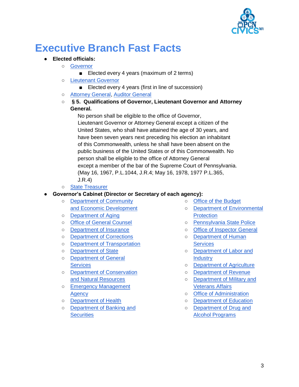

## **Executive Branch Fast Facts**

#### ● **Elected officials:**

#### ○ [Governor](https://www.governor.pa.gov/governor-tom-wolf/)

- Elected every 4 years (maximum of 2 terms)
- [Lieutenant Governor](https://www.governor.pa.gov/lieutenant-governor/)
	- Elected every 4 years (first in line of succession)
- [Attorney General,](https://www.attorneygeneral.gov/) [Auditor General](https://www.paauditor.gov/)
- **§ 5. Qualifications of Governor, Lieutenant Governor and Attorney General.**

 No person shall be eligible to the office of Governor, Lieutenant Governor or Attorney General except a citizen of the United States, who shall have attained the age of 30 years, and have been seven years next preceding his election an inhabitant of this Commonwealth, unless he shall have been absent on the public business of the United States or of this Commonwealth. No person shall be eligible to the office of Attorney General except a member of the bar of the Supreme Court of Pennsylvania. (May 16, 1967, P.L.1044, J.R.4; May 16, 1978, 1977 P.L.365,

J.R.4)

○ [State Treasurer](http://www.patreasury.gov/)

#### **Governor's Cabinet (Director or Secretary of each agency):**

- [Department of Community](https://dced.pa.gov/)  [and Economic Development](https://dced.pa.gov/)
- [Department of Aging](https://www.aging.pa.gov/Pages/default.aspx)
- [Office of General Counsel](https://www.ogc.pa.gov/Pages/default.aspx)
- [Department of Insurance](https://www.insurance.pa.gov/Pages/default.aspx)
- [Department of Corrections](https://www.cor.pa.gov/Pages/default.aspx)
- [Department of Transportation](https://www.penndot.gov/Pages/default.aspx)
- [Department of State](https://www.dos.pa.gov/Pages/default.aspx)
- [Department of General](https://www.dgs.pa.gov/Pages/default.aspx)  **[Services](https://www.dgs.pa.gov/Pages/default.aspx)**
- [Department of Conservation](http://www.dcnr.pa.gov/Pages/default.aspx)  [and Natural Resources](http://www.dcnr.pa.gov/Pages/default.aspx)
- [Emergency Management](https://www.pema.pa.gov/Pages/Default.aspx)  **[Agency](https://www.pema.pa.gov/Pages/Default.aspx)**
- [Department of Health](https://www.health.pa.gov/Pages/default.aspx#.W1tHUNhKgWo)
- [Department of Banking and](https://www.dobs.pa.gov/Pages/default.aspx)  **[Securities](https://www.dobs.pa.gov/Pages/default.aspx)**
- [Office of the Budget](https://www.budget.pa.gov/Pages/default.aspx)
- [Department of Environmental](https://www.dep.pa.gov/Pages/default.aspx)  **[Protection](https://www.dep.pa.gov/Pages/default.aspx)**
- [Pennsylvania State Police](https://www.psp.pa.gov/Pages/default.aspx)
- [Office of Inspector General](https://www.osig.pa.gov/Pages/default.aspx)
- [Department of Human](http://www.dhs.pa.gov/)  **Services**
- [Department of Labor and](https://www.dli.pa.gov/Pages/default.aspx)  **[Industry](https://www.dli.pa.gov/Pages/default.aspx)**
- [Department of Agriculture](https://www.agriculture.pa.gov/Pages/default.aspx)
- [Department of Revenue](https://www.revenue.pa.gov/Pages/default.aspx)
- [Department of Military and](https://www.dmva.pa.gov/Pages/default.aspx)  [Veterans Affairs](https://www.dmva.pa.gov/Pages/default.aspx)
- [Office of Administration](https://www.oa.pa.gov/Pages/default.aspx)
- [Department of Education](https://www.education.pa.gov/Pages/default.aspx)
- [Department of Drug and](https://www.ddap.pa.gov/pages/default.aspx)  [Alcohol Programs](https://www.ddap.pa.gov/pages/default.aspx)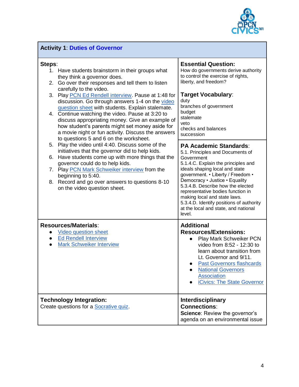

| <b>Activity 1: Duties of Governor</b>                                                                                                                                                                                                                  |                                                                                                                                                                                                                                                                                                  |  |
|--------------------------------------------------------------------------------------------------------------------------------------------------------------------------------------------------------------------------------------------------------|--------------------------------------------------------------------------------------------------------------------------------------------------------------------------------------------------------------------------------------------------------------------------------------------------|--|
| Steps:<br>1. Have students brainstorm in their groups what<br>they think a governor does.<br>Go over their responses and tell them to listen<br>2.                                                                                                     | <b>Essential Question:</b><br>How do governments derive authority<br>to control the exercise of rights,<br>liberty, and freedom?                                                                                                                                                                 |  |
| carefully to the video.<br>Play PCN Ed Rendell interview. Pause at 1:48 for<br>3.<br>discussion. Go through answers 1-4 on the video<br>question sheet with students. Explain stalemate.                                                               | <b>Target Vocabulary:</b><br>duty<br>branches of government                                                                                                                                                                                                                                      |  |
| 4. Continue watching the video. Pause at 3:20 to<br>discuss appropriating money. Give an example of<br>how student's parents might set money aside for<br>a movie night or fun activity. Discuss the answers<br>to questions 5 and 6 on the worksheet. | budget<br>stalemate<br>veto<br>checks and balances<br>succession                                                                                                                                                                                                                                 |  |
| 5. Play the video until 4:40. Discuss some of the<br>initiatives that the governor did to help kids.<br>6. Have students come up with more things that the                                                                                             | <b>PA Academic Standards:</b><br>5.1. Principles and Documents of<br>Government                                                                                                                                                                                                                  |  |
| governor could do to help kids.<br>7. Play PCN Mark Schweiker interview from the                                                                                                                                                                       | 5.1.4.C. Explain the principles and<br>ideals shaping local and state                                                                                                                                                                                                                            |  |
| beginning to 5:40.<br>Record and go over answers to questions 8-10<br>8.<br>on the video question sheet.                                                                                                                                               | government. • Liberty / Freedom •<br>Democracy · Justice · Equality<br>5.3.4.B. Describe how the elected<br>representative bodies function in<br>making local and state laws.<br>5.3.4.D. Identify positions of authority<br>at the local and state, and national<br>level.                      |  |
| <b>Resources/Materials:</b><br>Video question sheet<br><b>Ed Rendell Interview</b><br>$\bullet$<br><b>Mark Schweiker Interview</b>                                                                                                                     | <b>Additional</b><br><b>Resources/Extensions:</b><br>Play Mark Schweiker PCN<br>video from 8:52 - 12:30 to<br>learn about transition from<br>Lt. Governor and 9/11.<br><b>Past Governors flashcards</b><br><b>National Governors</b><br><b>Association</b><br><b>iCivics: The State Governor</b> |  |
| <b>Technology Integration:</b><br>Create questions for a Socrative quiz.                                                                                                                                                                               | <b>Interdisciplinary</b><br><b>Connections:</b><br>Science: Review the governor's<br>agenda on an environmental issue                                                                                                                                                                            |  |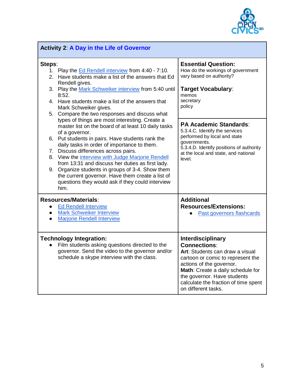

| <b>Activity 2: A Day in the Life of Governor</b>                                                                                                                                                                                                                                                                                                                                                                                                                                                                                                                                                                                                                                                                                                                                                                                                                                        |                                                                                                                                                                                                                                                                                        |  |
|-----------------------------------------------------------------------------------------------------------------------------------------------------------------------------------------------------------------------------------------------------------------------------------------------------------------------------------------------------------------------------------------------------------------------------------------------------------------------------------------------------------------------------------------------------------------------------------------------------------------------------------------------------------------------------------------------------------------------------------------------------------------------------------------------------------------------------------------------------------------------------------------|----------------------------------------------------------------------------------------------------------------------------------------------------------------------------------------------------------------------------------------------------------------------------------------|--|
| Steps:<br>1. Play the Ed Rendell interview from 4:40 - 7:10.<br>2. Have students make a list of the answers that Ed<br>Rendell gives.<br>3. Play the Mark Schweiker interview from 5:40 until<br>8:52.<br>4. Have students make a list of the answers that<br>Mark Schweiker gives.<br>5. Compare the two responses and discuss what<br>types of things are most interesting. Create a<br>master list on the board of at least 10 daily tasks<br>of a governor.<br>6. Put students in pairs. Have students rank the<br>daily tasks in order of importance to them.<br>7. Discuss differences across pairs.<br>8. View the interview with Judge Marjorie Rendell<br>from 13:31 and discuss her duties as first lady.<br>9. Organize students in groups of 3-4. Show them<br>the current governor. Have them create a list of<br>questions they would ask if they could interview<br>him. | <b>Essential Question:</b><br>How do the workings of government<br>vary based on authority?<br><b>Target Vocabulary:</b><br>memos<br>secretary<br>policy                                                                                                                               |  |
|                                                                                                                                                                                                                                                                                                                                                                                                                                                                                                                                                                                                                                                                                                                                                                                                                                                                                         | <b>PA Academic Standards:</b><br>5.3.4.C. Identify the services<br>performed by local and state<br>governments.<br>5.3.4.D. Identify positions of authority<br>at the local and state, and national<br>level.                                                                          |  |
| <b>Resources/Materials:</b><br>• Ed Rendell Interview<br><b>Mark Schweiker Interview</b><br>$\bullet$<br><b>Marjorie Rendell Interview</b><br>$\bullet$                                                                                                                                                                                                                                                                                                                                                                                                                                                                                                                                                                                                                                                                                                                                 | <b>Additional</b><br><b>Resources/Extensions:</b><br>Past governors flashcards                                                                                                                                                                                                         |  |
| <b>Technology Integration:</b><br>Film students asking questions directed to the<br>governor. Send the video to the governor and/or<br>schedule a skype interview with the class.                                                                                                                                                                                                                                                                                                                                                                                                                                                                                                                                                                                                                                                                                                       | <b>Interdisciplinary</b><br><b>Connections:</b><br>Art: Students can draw a visual<br>cartoon or comic to represent the<br>actions of the governor.<br>Math: Create a daily schedule for<br>the governor. Have students<br>calculate the fraction of time spent<br>on different tasks. |  |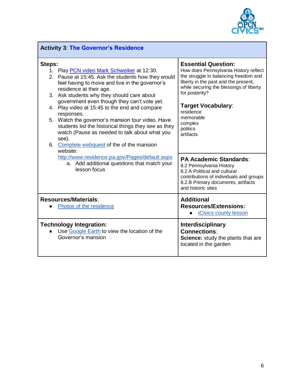

| <b>Activity 3: The Governor's Residence</b>                                                                                                                                                                                                                                                                                                                                                                                                                                                                                                                                         |                                                                                                                                                                                                                                                                                                              |  |
|-------------------------------------------------------------------------------------------------------------------------------------------------------------------------------------------------------------------------------------------------------------------------------------------------------------------------------------------------------------------------------------------------------------------------------------------------------------------------------------------------------------------------------------------------------------------------------------|--------------------------------------------------------------------------------------------------------------------------------------------------------------------------------------------------------------------------------------------------------------------------------------------------------------|--|
| Steps:<br>1. Play PCN video Mark Schweiker at 12:30.<br>2. Pause at 15:45. Ask the students how they would<br>feel having to move and live in the governor's<br>residence at their age.<br>3. Ask students why they should care about<br>government even though they can't vote yet.<br>4. Play video at 15:45 to the end and compare<br>responses.<br>5. Watch the governor's mansion tour video. Have<br>students list the historical things they see as they<br>watch (Pause as needed to talk about what you<br>see).<br>6. Complete webquest of the of the mansion<br>website: | <b>Essential Question:</b><br>How does Pennsylvania History reflect<br>the struggle in balancing freedom and<br>liberty in the past and the present,<br>while securing the blessings of liberty<br>for posterity?<br><b>Target Vocabulary:</b><br>residence<br>memorable<br>complex<br>politics<br>artifacts |  |
| http://www.residence.pa.gov/Pages/default.aspx<br>a. Add additional questions that match your<br>lesson focus                                                                                                                                                                                                                                                                                                                                                                                                                                                                       | <b>PA Academic Standards:</b><br>8.2 Pennsylvania History<br>8.2.A Political and cultural<br>contributions of individuals and groups<br>8.2.B Primary documents, artifacts<br>and historic sites                                                                                                             |  |
| <b>Resources/Materials:</b><br>Photos of the residence                                                                                                                                                                                                                                                                                                                                                                                                                                                                                                                              | <b>Additional</b><br><b>Resources/Extensions:</b><br><b>iCivics county lesson</b>                                                                                                                                                                                                                            |  |
| <b>Technology Integration:</b><br>Use Google Earth to view the location of the<br>Governor's mansion                                                                                                                                                                                                                                                                                                                                                                                                                                                                                | <b>Interdisciplinary</b><br><b>Connections:</b><br>Science: study the plants that are<br>located in the garden                                                                                                                                                                                               |  |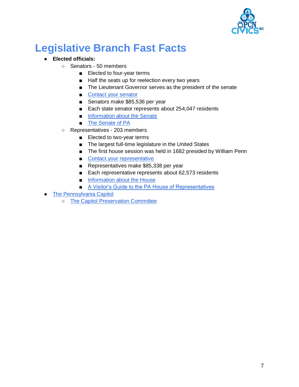

## **Legislative Branch Fast Facts**

#### ● **Elected officials:**

- Senators 50 members
	- Elected to four-year terms
	- Half the seats up for reelection every two years
	- The Lieutenant Governor serves as the president of the senate
	- [Contact your senator](http://www.legis.state.pa.us/cfdocs/legis/home/member_information/contact.cfm?body=S)
	- Senators make \$85,536 per year
	- Each state senator represents about 254,047 residents
	- [Information about the Senate](http://www.pasen.gov/index.cfm)
	- [The Senate](http://www.pacapitol.com/Resources/ViewFile.cfm?File=%2FResources%2FPDF%2FEducational%2FWelcome-to-the-Senate-of-Pennsylvania%2Epdf) of PA
- Representatives 203 members
	- Elected to two-year terms
	- The largest full-time legislature in the United States
	- The first house session was held in 1682 presided by William Penn
	- [Contact your representative](http://www.legis.state.pa.us/cfdocs/legis/home/member_information/contact.cfm?body=H)
	- Representatives make \$85,338 per year
	- Each representative represents about 62,573 residents
	- [Information about the House](http://www.house.state.pa.us/)
	- [A Visitor's Guide to the PA House of Representatives](http://www.pacapitol.com/Resources/ViewFile.cfm?File=%2FResources%2FPDF%2FEducational%2FOur-House-Pennsylvania%2Epdf)
- [The Pennsylvania Capitol](http://www.pacapitol.com/)
	- [The Capitol Preservation Committee](http://cpc.state.pa.us/)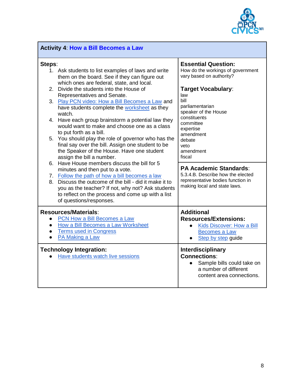

| <b>Activity 4: How a Bill Becomes a Law</b> |                                                                                                                                                                                                                                               |                                                                                                                              |
|---------------------------------------------|-----------------------------------------------------------------------------------------------------------------------------------------------------------------------------------------------------------------------------------------------|------------------------------------------------------------------------------------------------------------------------------|
| Steps:                                      | 1. Ask students to list examples of laws and write<br>them on the board. See if they can figure out<br>which ones are federal, state, and local.                                                                                              | <b>Essential Question:</b><br>How do the workings of government<br>vary based on authority?                                  |
|                                             | 2. Divide the students into the House of<br>Representatives and Senate.                                                                                                                                                                       | <b>Target Vocabulary:</b><br>law                                                                                             |
|                                             | 3. Play PCN video: How a Bill Becomes a Law and<br>have students complete the worksheet as they<br>watch.                                                                                                                                     | bill<br>parliamentarian<br>speaker of the House<br>constituents                                                              |
|                                             | 4. Have each group brainstorm a potential law they<br>would want to make and choose one as a class<br>to put forth as a bill.                                                                                                                 | committee<br>expertise<br>amendment                                                                                          |
|                                             | 5. You should play the role of governor who has the<br>final say over the bill. Assign one student to be<br>the Speaker of the House. Have one student<br>assign the bill a number.<br>6. Have House members discuss the bill for 5           | debate<br>veto<br>amendment<br>fiscal                                                                                        |
|                                             | minutes and then put to a vote.                                                                                                                                                                                                               | <b>PA Academic Standards:</b><br>5.3.4.B. Describe how the elected                                                           |
|                                             | 7. Follow the path of how a bill becomes a law<br>8. Discuss the outcome of the bill - did it make it to<br>you as the teacher? If not, why not? Ask students<br>to reflect on the process and come up with a list<br>of questions/responses. | representative bodies function in<br>making local and state laws.                                                            |
|                                             | <b>Resources/Materials:</b>                                                                                                                                                                                                                   | <b>Additional</b>                                                                                                            |
|                                             | PCN How a Bill Becomes a Law<br>How a Bill Becomes a Law Worksheet                                                                                                                                                                            | <b>Resources/Extensions:</b><br>Kids Discover: How a Bill                                                                    |
|                                             | <b>Terms used in Congress</b><br>PA Making a Law                                                                                                                                                                                              | <b>Becomes a Law</b><br>Step by step guide                                                                                   |
|                                             | <b>Technology Integration:</b><br>Have students watch live sessions                                                                                                                                                                           | Interdisciplinary<br><b>Connections:</b><br>Sample bills could take on<br>a number of different<br>content area connections. |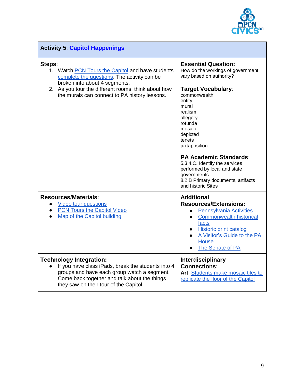

| <b>Activity 5: Capitol Happenings</b>                                                                                                                                                                                                              |                                                                                                                                                                                                                                                |  |
|----------------------------------------------------------------------------------------------------------------------------------------------------------------------------------------------------------------------------------------------------|------------------------------------------------------------------------------------------------------------------------------------------------------------------------------------------------------------------------------------------------|--|
| Steps:<br>1. Watch PCN Tours the Capitol and have students<br>complete the questions. The activity can be<br>broken into about 4 segments.<br>2. As you tour the different rooms, think about how<br>the murals can connect to PA history lessons. | <b>Essential Question:</b><br>How do the workings of government<br>vary based on authority?<br><b>Target Vocabulary:</b><br>commonwealth<br>entity<br>mural<br>realism<br>allegory<br>rotunda<br>mosaic<br>depicted<br>tenets<br>juxtaposition |  |
|                                                                                                                                                                                                                                                    | <b>PA Academic Standards:</b><br>5.3.4.C. Identify the services<br>performed by local and state<br>governments.<br>8.2.B Primary documents, artifacts<br>and historic Sites                                                                    |  |
| <b>Resources/Materials:</b><br>Video tour questions<br><b>PCN Tours the Capitol Video</b><br>$\bullet$<br>Map of the Capitol building                                                                                                              | <b>Additional</b><br><b>Resources/Extensions:</b><br><b>Pennsylvania Activities</b><br><b>Commonwealth historical</b><br>facts<br><b>Historic print catalog</b><br>A Visitor's Guide to the PA<br><b>House</b><br>The Senate of PA             |  |
| <b>Technology Integration:</b><br>If you have class iPads, break the students into 4<br>groups and have each group watch a segment.<br>Come back together and talk about the things<br>they saw on their tour of the Capitol.                      | <b>Interdisciplinary</b><br><b>Connections:</b><br>Art: Students make mosaic tiles to<br>replicate the floor of the Capitol                                                                                                                    |  |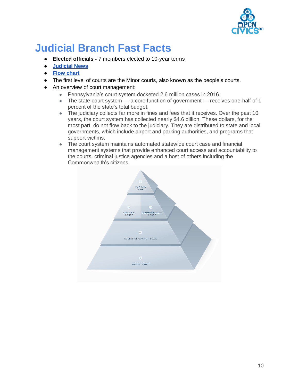

## **Judicial Branch Fast Facts**

- **Elected officials -** 7 members elected to 10-year terms
- **[Judicial News](http://www.pacourts.us/news-and-statistics/)**
- **[Flow chart](http://www.pacourts.us/assets/files/setting-5220/file-5611.pdf?cb=2a830c)**
- The first level of courts are the Minor courts, also known as the people's courts.
- An overview of court management:
	- Pennsylvania's court system docketed 2.6 million cases in 2016.
	- The state court system a core function of government receives one-half of 1 percent of the state's total budget.
	- The judiciary collects far more in fines and fees that it receives. Over the past 10 years, the court system has collected nearly \$4.6 billion. These dollars, for the most part, do not flow back to the judiciary. They are distributed to state and local governments, which include airport and parking authorities, and programs that support victims.
	- The court system maintains automated statewide court case and financial management systems that provide enhanced court access and accountability to the courts, criminal justice agencies and a host of others including the Commonwealth's citizens.

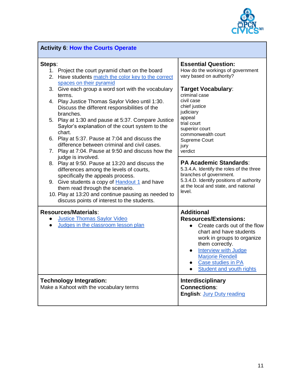

| <b>Activity 6: How the Courts Operate</b>                                                                                                                                                                                                                                                                                                                                                                                                          |                                                                                                                                                                                                                                                                           |
|----------------------------------------------------------------------------------------------------------------------------------------------------------------------------------------------------------------------------------------------------------------------------------------------------------------------------------------------------------------------------------------------------------------------------------------------------|---------------------------------------------------------------------------------------------------------------------------------------------------------------------------------------------------------------------------------------------------------------------------|
| Steps:<br>1. Project the court pyramid chart on the board<br>Have students match the color key to the correct<br>2.<br>spaces on their pyramid<br>3. Give each group a word sort with the vocabulary<br>terms.<br>4. Play Justice Thomas Saylor Video until 1:30.<br>Discuss the different responsibilities of the<br>branches.<br>5. Play at 1:30 and pause at 5:37. Compare Justice<br>Saylor's explanation of the court system to the<br>chart. | <b>Essential Question:</b><br>How do the workings of government<br>vary based on authority?<br>Target Vocabulary:<br>criminal case<br>civil case<br>chief justice<br>judiciary<br>appeal<br>trial court<br>superior court                                                 |
| 6. Play at 5:37. Pause at 7:04 and discuss the<br>difference between criminal and civil cases.<br>7. Play at 7:04. Pause at 9:50 and discuss how the                                                                                                                                                                                                                                                                                               | commonwealth court<br>Supreme Court<br>jury<br>verdict                                                                                                                                                                                                                    |
| judge is involved.<br>8. Play at 9:50. Pause at 13:20 and discuss the<br>differences among the levels of courts,<br>specifically the appeals process.                                                                                                                                                                                                                                                                                              | <b>PA Academic Standards:</b><br>5.3.4.A. Identify the roles of the three<br>branches of government.                                                                                                                                                                      |
| Give students a copy of <b>Handout 1</b> and have<br>9.<br>them read through the scenario.<br>10. Play at 13:20 and continue pausing as needed to<br>discuss points of interest to the students.                                                                                                                                                                                                                                                   | 5.3.4.D. Identify positions of authority<br>at the local and state, and national<br>level.                                                                                                                                                                                |
| <b>Resources/Materials:</b><br><b>Justice Thomas Saylor Video</b><br>$\bullet$<br>Judges in the classroom lesson plan<br>$\bullet$                                                                                                                                                                                                                                                                                                                 | <b>Additional</b><br><b>Resources/Extensions:</b><br>Create cards out of the flow<br>chart and have students<br>work in groups to organize<br>them correctly.<br>Interview with Judge<br><b>Marjorie Rendell</b><br>Case studies in PA<br><b>Student and youth rights</b> |
| <b>Technology Integration:</b><br>Make a Kahoot with the vocabulary terms                                                                                                                                                                                                                                                                                                                                                                          | Interdisciplinary<br><b>Connections:</b><br>English: Jury Duty reading                                                                                                                                                                                                    |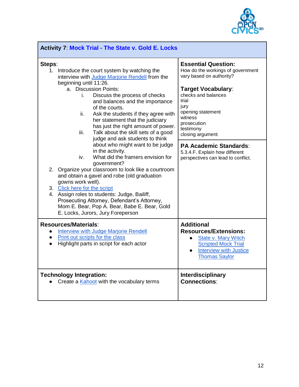

| <b>Activity 7: Mock Trial - The State v. Gold E. Locks</b>                                                                                                                                                                                                                                                                                                                                                                                                                                        |                                                                                                                                                                                                                                                  |  |
|---------------------------------------------------------------------------------------------------------------------------------------------------------------------------------------------------------------------------------------------------------------------------------------------------------------------------------------------------------------------------------------------------------------------------------------------------------------------------------------------------|--------------------------------------------------------------------------------------------------------------------------------------------------------------------------------------------------------------------------------------------------|--|
| Steps:<br>Introduce the court system by watching the<br>1.<br>interview with Judge Marjorie Rendell from the<br>beginning until 11:26.<br>a. Discussion Points:<br>Discuss the process of checks<br>i.<br>and balances and the importance<br>of the courts.<br>Ask the students if they agree with<br>ii.<br>her statement that the judiciary<br>has just the right amount of power.<br>iii.<br>Talk about the skill sets of a good                                                               | <b>Essential Question:</b><br>How do the workings of government<br>vary based on authority?<br><b>Target Vocabulary:</b><br>checks and balances<br>trial<br>jury<br>opening statement<br>witness<br>prosecution<br>testimony<br>closing argument |  |
| judge and ask students to think<br>about who might want to be judge<br>in the activity.<br>What did the framers envision for<br>iv.<br>government?<br>2. Organize your classroom to look like a courtroom<br>and obtain a gavel and robe (old graduation<br>gowns work well).<br>3. Click here for the script<br>4. Assign roles to students: Judge, Bailiff,<br>Prosecuting Attorney, Defendant's Attorney,<br>Mom E. Bear, Pop A. Bear, Babe E. Bear, Gold<br>E. Locks, Jurors, Jury Foreperson | <b>PA Academic Standards:</b><br>5.3.4.F. Explain how different<br>perspectives can lead to conflict.                                                                                                                                            |  |
| <b>Resources/Materials:</b><br><b>Interview with Judge Marjorie Rendell</b><br>$\bullet$<br>Print out scripts for the class<br>$\bullet$<br>Highlight parts in script for each actor<br>$\bullet$                                                                                                                                                                                                                                                                                                 | <b>Additional</b><br><b>Resources/Extensions:</b><br>State v. Mary Witch<br><b>Scripted Mock Trial</b><br><b>Interview with Justice</b><br>$\bullet$<br><b>Thomas Saylor</b>                                                                     |  |
| <b>Technology Integration:</b><br>Create a Kahoot with the vocabulary terms                                                                                                                                                                                                                                                                                                                                                                                                                       | <b>Interdisciplinary</b><br><b>Connections:</b>                                                                                                                                                                                                  |  |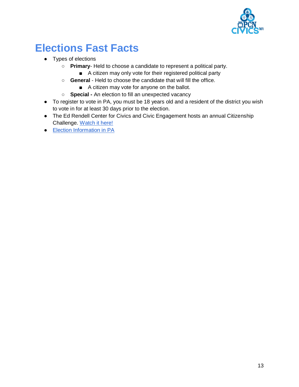

# **Elections Fast Facts**

- Types of elections
	- **Primary** Held to choose a candidate to represent a political party.
		- A citizen may only vote for their registered political party
	- **General** Held to choose the candidate that will fill the office.
		- A citizen may vote for anyone on the ballot.
	- **Special -** An election to fill an unexpected vacancy
- To register to vote in PA, you must be 18 years old and a resident of the district you wish to vote in for at least 30 days prior to the election.
- The Ed Rendell Center for Civics and Civic Engagement hosts an annual Citizenship Challenge. [Watch it here!](https://pcntv.com/civics-101-vod/?c=elections)
- [Election Information in PA](https://www.pavoterservices.pa.gov/electioninfo/ElectionInfo.aspx)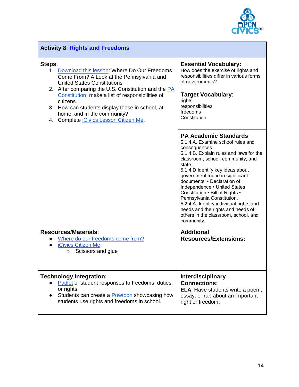

| <b>Activity 8: Rights and Freedoms</b>                                                                                                                                                                                                                                                                                                                                                                 |                                                                                                                                                                                                                                                                                                                                                                                                                                                                                                                            |
|--------------------------------------------------------------------------------------------------------------------------------------------------------------------------------------------------------------------------------------------------------------------------------------------------------------------------------------------------------------------------------------------------------|----------------------------------------------------------------------------------------------------------------------------------------------------------------------------------------------------------------------------------------------------------------------------------------------------------------------------------------------------------------------------------------------------------------------------------------------------------------------------------------------------------------------------|
| Steps:<br>1. Download this lesson: Where Do Our Freedoms<br>Come From? A Look at the Pennsylvania and<br><b>United States Constitutions</b><br>2. After comparing the U.S. Constitution and the PA<br>Constitution, make a list of responsibilities of<br>citizens.<br>3. How can students display these in school, at<br>home, and in the community?<br>4. Complete <i>iCivics</i> Lesson Citizen Me. | <b>Essential Vocabulary:</b><br>How does the exercise of rights and<br>responsibilities differ in various forms<br>of governments?<br><b>Target Vocabulary:</b><br>rights<br>responsibilities<br>freedoms<br>Constitution                                                                                                                                                                                                                                                                                                  |
|                                                                                                                                                                                                                                                                                                                                                                                                        | <b>PA Academic Standards:</b><br>5.1.4.A. Examine school rules and<br>consequences.<br>5.1.4.B. Explain rules and laws for the<br>classroom, school, community, and<br>state.<br>5.1.4.D Identify key ideas about<br>government found in significant<br>documents: • Declaration of<br>Independence • United States<br>Constitution . Bill of Rights .<br>Pennsylvania Constitution.<br>5.2.4.A. Identify individual rights and<br>needs and the rights and needs of<br>others in the classroom, school, and<br>community. |
| <b>Resources/Materials:</b><br>Where do our freedoms come from?<br><b>iCivics Citizen Me</b><br>Scissors and glue<br>$\circ$                                                                                                                                                                                                                                                                           | <b>Additional</b><br><b>Resources/Extensions:</b>                                                                                                                                                                                                                                                                                                                                                                                                                                                                          |
| <b>Technology Integration:</b><br>Padlet of student responses to freedoms, duties,<br>or rights.<br>Students can create a <b>Powtoon</b> showcasing how<br>students use rights and freedoms in school.                                                                                                                                                                                                 | <b>Interdisciplinary</b><br><b>Connections:</b><br>ELA: Have students write a poem,<br>essay, or rap about an important<br>right or freedom.                                                                                                                                                                                                                                                                                                                                                                               |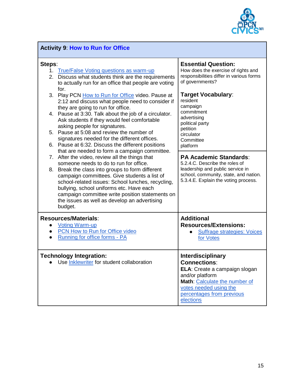

| <b>Activity 9: How to Run for Office</b>                                                                                                                                                                                                                                                                           |                                                                                                                                                                                                   |  |
|--------------------------------------------------------------------------------------------------------------------------------------------------------------------------------------------------------------------------------------------------------------------------------------------------------------------|---------------------------------------------------------------------------------------------------------------------------------------------------------------------------------------------------|--|
| Steps:<br><b>True/False Voting questions as warm-up</b><br>1.<br>2.<br>Discuss what students think are the requirements<br>to actually run for an office that people are voting<br>for.                                                                                                                            | <b>Essential Question:</b><br>How does the exercise of rights and<br>responsibilities differ in various forms<br>of governments?                                                                  |  |
| 3.<br>Play PCN How to Run for Office video. Pause at<br>2:12 and discuss what people need to consider if<br>they are going to run for office.                                                                                                                                                                      | <b>Target Vocabulary:</b><br>resident<br>campaign                                                                                                                                                 |  |
| 4. Pause at 3:30. Talk about the job of a circulator.<br>Ask students if they would feel comfortable<br>asking people for signatures.                                                                                                                                                                              | commitment<br>advertising<br>political party<br>petition                                                                                                                                          |  |
| 5. Pause at 5:08 and review the number of<br>signatures needed for the different offices.<br>6. Pause at 6:32. Discuss the different positions                                                                                                                                                                     | circulator<br>Committee<br>platform                                                                                                                                                               |  |
| that are needed to form a campaign committee.<br>After the video, review all the things that<br>7.<br>someone needs to do to run for office.                                                                                                                                                                       | <b>PA Academic Standards:</b><br>5.2.4.C. Describe the roles of                                                                                                                                   |  |
| Break the class into groups to form different<br>8.<br>campaign committees. Give students a list of<br>school-related issues: School lunches, recycling,<br>bullying, school uniforms etc. Have each<br>campaign committee write position statements on<br>the issues as well as develop an advertising<br>budget. | leadership and public service in<br>school, community, state, and nation.<br>5.3.4.E. Explain the voting process.                                                                                 |  |
| <b>Resources/Materials:</b><br><b>Voting Warm-up</b><br>$\bullet$<br>PCN How to Run for Office video<br>Running for office forms - PA                                                                                                                                                                              | <b>Additional</b><br><b>Resources/Extensions:</b><br><b>Suffrage strategies: Voices</b><br>for Votes                                                                                              |  |
| <b>Technology Integration:</b><br>Use Inklewriter for student collaboration                                                                                                                                                                                                                                        | Interdisciplinary<br><b>Connections:</b><br>ELA: Create a campaign slogan<br>and/or platform<br>Math: Calculate the number of<br>votes needed using the<br>percentages from previous<br>elections |  |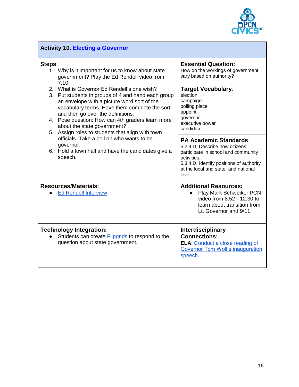

| <b>Activity 10: Electing a Governor</b>                                                                                                                                                                                                                                                                                                                                                                                                                                                            |                                                                                                                                                                                                                          |  |
|----------------------------------------------------------------------------------------------------------------------------------------------------------------------------------------------------------------------------------------------------------------------------------------------------------------------------------------------------------------------------------------------------------------------------------------------------------------------------------------------------|--------------------------------------------------------------------------------------------------------------------------------------------------------------------------------------------------------------------------|--|
| Steps:<br>1. Why is it important for us to know about state<br>government? Play the Ed Rendell video from<br>7:10.<br>2. What is Governor Ed Rendell's one wish?<br>3. Put students in groups of 4 and hand each group<br>an envelope with a picture word sort of the<br>vocabulary terms. Have them complete the sort<br>and then go over the definitions.<br>4. Pose question: How can 4th graders learn more<br>about the state government?<br>5. Assign roles to students that align with town | <b>Essential Question:</b><br>How do the workings of government<br>vary based on authority?<br><b>Target Vocabulary:</b><br>election<br>campaign<br>polling place<br>appoint<br>governor<br>executive power<br>candidate |  |
| officials. Take a poll on who wants to be<br>governor.<br>6. Hold a town hall and have the candidates give a<br>speech.                                                                                                                                                                                                                                                                                                                                                                            | <b>PA Academic Standards:</b><br>5.2.4.D. Describe how citizens<br>participate in school and community<br>activities.<br>5.3.4.D. Identify positions of authority<br>at the local and state, and national<br>level.      |  |
| <b>Resources/Materials:</b><br><b>Ed Rendell Interview</b>                                                                                                                                                                                                                                                                                                                                                                                                                                         | <b>Additional Resources:</b><br><b>Play Mark Schweiker PCN</b><br>video from 8:52 - 12:30 to<br>learn about transition from<br>Lt. Governor and 9/11.                                                                    |  |
| <b>Technology Integration:</b><br>Students can create <b>Flipgrids</b> to respond to the<br>question about state government.                                                                                                                                                                                                                                                                                                                                                                       | <b>Interdisciplinary</b><br><b>Connections:</b><br><b>ELA: Conduct a close reading of</b><br>Governor Tom Wolf's inauguration<br>speech                                                                                  |  |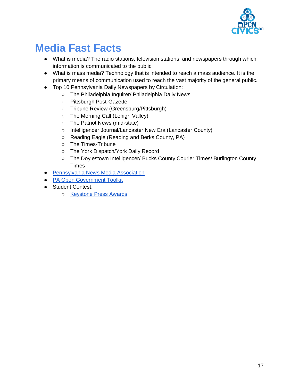

# **Media Fast Facts**

- What is media? The radio stations, television stations, and newspapers through which information is communicated to the public
- What is mass media? Technology that is intended to reach a mass audience. It is the primary means of communication used to reach the vast majority of the general public.
- Top 10 Pennsylvania Daily Newspapers by Circulation:
	- The Philadelphia Inquirer/ Philadelphia Daily News
	- Pittsburgh Post-Gazette
	- Tribune Review (Greensburg/Pittsburgh)
	- The Morning Call (Lehigh Valley)
	- The Patriot News (mid-state)
	- Intelligencer Journal/Lancaster New Era (Lancaster County)
	- Reading Eagle (Reading and Berks County, PA)
	- The Times-Tribune
	- The York Dispatch/York Daily Record
	- The Doylestown Intelligencer/ Bucks County Courier Times/ Burlington County Times
- [Pennsylvania News Media Association](http://panewsmedia.org/)
- [PA Open Government Toolkit](http://panewsmedia.org/legal/government-tool-kit)
- Student Contest:
	- [Keystone Press Awards](http://panewsmedia.org/docs/default-source/contest-and-awards/student-keystones/2018-student-rules.pdf?sfvrsn=0)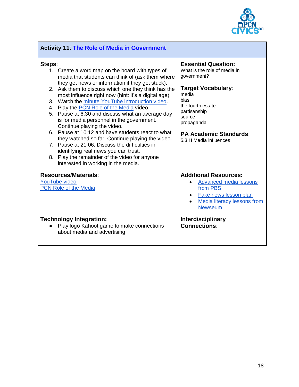

| <b>Activity 11: The Role of Media in Government</b>                                                                                                                                                                                                                                                                                                                                                                                                                                                                                                                                                                                                                                                                                                                                                          |                                                                                                                                                                                                                                                 |  |
|--------------------------------------------------------------------------------------------------------------------------------------------------------------------------------------------------------------------------------------------------------------------------------------------------------------------------------------------------------------------------------------------------------------------------------------------------------------------------------------------------------------------------------------------------------------------------------------------------------------------------------------------------------------------------------------------------------------------------------------------------------------------------------------------------------------|-------------------------------------------------------------------------------------------------------------------------------------------------------------------------------------------------------------------------------------------------|--|
| Steps:<br>1. Create a word map on the board with types of<br>media that students can think of (ask them where<br>they get news or information if they get stuck).<br>Ask them to discuss which one they think has the<br>2.<br>most influence right now (hint: it's a digital age)<br>3. Watch the minute YouTube introduction video.<br>4. Play the PCN Role of the Media video.<br>5. Pause at 6:30 and discuss what an average day<br>is for media personnel in the government.<br>Continue playing the video.<br>6. Pause at 10:12 and have students react to what<br>they watched so far. Continue playing the video.<br>7. Pause at 21:06. Discuss the difficulties in<br>identifying real news you can trust.<br>8. Play the remainder of the video for anyone<br>interested in working in the media. | <b>Essential Question:</b><br>What is the role of media in<br>government?<br>Target Vocabulary:<br>media<br><b>bias</b><br>the fourth estate<br>partisanship<br>source<br>propaganda<br><b>PA Academic Standards:</b><br>5.3.H Media influences |  |
| <b>Resources/Materials:</b><br><b>YouTube video</b><br><b>PCN Role of the Media</b>                                                                                                                                                                                                                                                                                                                                                                                                                                                                                                                                                                                                                                                                                                                          | <b>Additional Resources:</b><br><b>Advanced media lessons</b><br>from PBS<br>Fake news lesson plan<br>Media literacy lessons from<br><b>Newseum</b>                                                                                             |  |
| <b>Technology Integration:</b><br>Play logo Kahoot game to make connections<br>about media and advertising                                                                                                                                                                                                                                                                                                                                                                                                                                                                                                                                                                                                                                                                                                   | <b>Interdisciplinary</b><br><b>Connections:</b>                                                                                                                                                                                                 |  |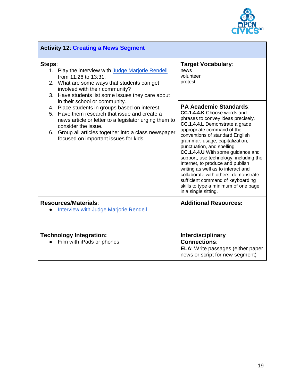

| <b>Activity 12: Creating a News Segment</b>                                                                                                                                                                                                                                                                                                                                                                                                                                                                                                        |                                                                                                                                                                                                                                                                                                                                                                                                                                                                                                                                                                                     |  |
|----------------------------------------------------------------------------------------------------------------------------------------------------------------------------------------------------------------------------------------------------------------------------------------------------------------------------------------------------------------------------------------------------------------------------------------------------------------------------------------------------------------------------------------------------|-------------------------------------------------------------------------------------------------------------------------------------------------------------------------------------------------------------------------------------------------------------------------------------------------------------------------------------------------------------------------------------------------------------------------------------------------------------------------------------------------------------------------------------------------------------------------------------|--|
| Steps:<br>1. Play the interview with Judge Marjorie Rendell<br>from 11:26 to 13:31.<br>2. What are some ways that students can get<br>involved with their community?<br>3. Have students list some issues they care about<br>in their school or community.<br>4. Place students in groups based on interest.<br>Have them research that issue and create a<br>5.<br>news article or letter to a legislator urging them to<br>consider the issue.<br>6. Group all articles together into a class newspaper<br>focused on important issues for kids. | Target Vocabulary:<br>news<br>volunteer<br>protest                                                                                                                                                                                                                                                                                                                                                                                                                                                                                                                                  |  |
|                                                                                                                                                                                                                                                                                                                                                                                                                                                                                                                                                    | <b>PA Academic Standards:</b><br><b>CC.1.4.4.K</b> Choose words and<br>phrases to convey ideas precisely.<br>CC.1.4.4.L Demonstrate a grade<br>appropriate command of the<br>conventions of standard English<br>grammar, usage, capitalization,<br>punctuation, and spelling.<br>CC.1.4.4.U With some guidance and<br>support, use technology, including the<br>Internet, to produce and publish<br>writing as well as to interact and<br>collaborate with others; demonstrate<br>sufficient command of keyboarding<br>skills to type a minimum of one page<br>in a single sitting. |  |
| <b>Resources/Materials:</b><br><b>Interview with Judge Marjorie Rendell</b>                                                                                                                                                                                                                                                                                                                                                                                                                                                                        | <b>Additional Resources:</b>                                                                                                                                                                                                                                                                                                                                                                                                                                                                                                                                                        |  |
| <b>Technology Integration:</b><br>Film with iPads or phones                                                                                                                                                                                                                                                                                                                                                                                                                                                                                        | Interdisciplinary<br><b>Connections:</b><br>ELA: Write passages (either paper<br>news or script for new segment)                                                                                                                                                                                                                                                                                                                                                                                                                                                                    |  |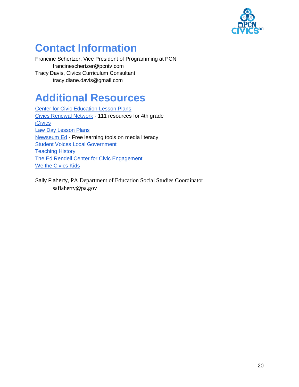

# **Contact Information**

Francine Schertzer, Vice President of Programming at PCN francineschertzer@pcntv.com Tracy Davis, Civics Curriculum Consultant tracy.diane.davis@gmail.com

## **Additional Resources**

[Center for Civic Education](http://www.civiced.org/resources/curriculum/lesson-plans) Lesson Plans [Civics Renewal Network](https://www.civicsrenewalnetwork.org/resources/?fwp_grade=grade-4) - 111 resources for 4th grade **[iCivics](https://www.icivics.org/)** [Law Day Lesson Plans](https://www.pabar.org/pdf/lawdaylessonplan04.pdf) [Newseum Ed](https://newseumed.org/) - Free learning tools on media literacy **[Student Voices Local Government](http://www.annenbergclassroom.org/Files/Documents/LessonPlans/Local%20Government%20Curriculum.pdf)** [Teaching History](http://teachinghistory.org/) [The Ed Rendell Center for Civic Engagement](https://www.rendellcenter.org/) [We the Civics Kids](https://constitutioncenter.org/learn/educational-resources/we-the-civics-kids)

Sally Flaherty, PA Department of Education Social Studies Coordinator saflaherty@pa.gov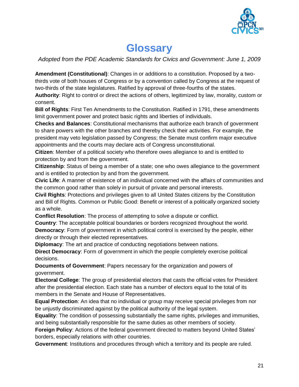

## **Glossary**

*Adopted from the PDE Academic Standards for Civics and Government: June 1, 2009*

**Amendment (Constitutional)**: Changes in or additions to a constitution. Proposed by a twothirds vote of both houses of Congress or by a convention called by Congress at the request of two-thirds of the state legislatures. Ratified by approval of three-fourths of the states.

**Authority**: Right to control or direct the actions of others, legitimized by law, morality, custom or consent.

**Bill of Rights**: First Ten Amendments to the Constitution. Ratified in 1791, these amendments limit government power and protect basic rights and liberties of individuals.

**Checks and Balances**: Constitutional mechanisms that authorize each branch of government to share powers with the other branches and thereby check their activities. For example, the president may veto legislation passed by Congress; the Senate must confirm major executive appointments and the courts may declare acts of Congress unconstitutional.

**Citizen**: Member of a political society who therefore owes allegiance to and is entitled to protection by and from the government.

**Citizenship**: Status of being a member of a state; one who owes allegiance to the government and is entitled to protection by and from the government.

**Civic Life**: A manner of existence of an individual concerned with the affairs of communities and the common good rather than solely in pursuit of private and personal interests.

**Civil Rights**: Protections and privileges given to all United States citizens by the Constitution and Bill of Rights. Common or Public Good: Benefit or interest of a politically organized society as a whole.

**Conflict Resolution**: The process of attempting to solve a dispute or conflict.

**Country**: The acceptable political boundaries or borders recognized throughout the world. **Democracy:** Form of government in which political control is exercised by the people, either directly or through their elected representatives.

**Diplomacy**: The art and practice of conducting negotiations between nations.

**Direct Democracy**: Form of government in which the people completely exercise political decisions.

**Documents of Government**: Papers necessary for the organization and powers of government.

**Electoral College**: The group of presidential electors that casts the official votes for President after the presidential election. Each state has a number of electors equal to the total of its members in the Senate and House of Representatives.

**Equal Protection**: An idea that no individual or group may receive special privileges from nor be unjustly discriminated against by the political authority of the legal system.

**Equality**: The condition of possessing substantially the same rights, privileges and immunities, and being substantially responsible for the same duties as other members of society.

**Foreign Policy**: Actions of the federal government directed to matters beyond United States' borders, especially relations with other countries.

**Government**: Institutions and procedures through which a territory and its people are ruled.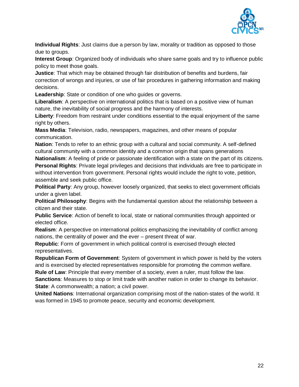

**Individual Rights**: Just claims due a person by law, morality or tradition as opposed to those due to groups.

**Interest Group**: Organized body of individuals who share same goals and try to influence public policy to meet those goals.

**Justice**: That which may be obtained through fair distribution of benefits and burdens, fair correction of wrongs and injuries, or use of fair procedures in gathering information and making decisions.

**Leadership**: State or condition of one who guides or governs.

**Liberalism**: A perspective on international politics that is based on a positive view of human nature, the inevitability of social progress and the harmony of interests.

**Liberty**: Freedom from restraint under conditions essential to the equal enjoyment of the same right by others.

**Mass Media**: Television, radio, newspapers, magazines, and other means of popular communication.

**Nation**: Tends to refer to an ethnic group with a cultural and social community. A self-defined cultural community with a common identity and a common origin that spans generations

**Nationalism**: A feeling of pride or passionate identification with a state on the part of its citizens. **Personal Rights**: Private legal privileges and decisions that individuals are free to participate in without intervention from government. Personal rights would include the right to vote, petition, assemble and seek public office.

**Political Party**: Any group, however loosely organized, that seeks to elect government officials under a given label.

**Political Philosophy**: Begins with the fundamental question about the relationship between a citizen and their state.

**Public Service**: Action of benefit to local, state or national communities through appointed or elected office.

**Realism**: A perspective on international politics emphasizing the inevitability of conflict among nations, the centrality of power and the ever – present threat of war.

**Republic**: Form of government in which political control is exercised through elected representatives.

**Republican Form of Government**: System of government in which power is held by the voters and is exercised by elected representatives responsible for promoting the common welfare. **Rule of Law**: Principle that every member of a society, even a ruler, must follow the law.

**Sanctions**: Measures to stop or limit trade with another nation in order to change its behavior. **State:** A commonwealth; a nation; a civil power.

**United Nations**: International organization comprising most of the nation-states of the world. It was formed in 1945 to promote peace, security and economic development.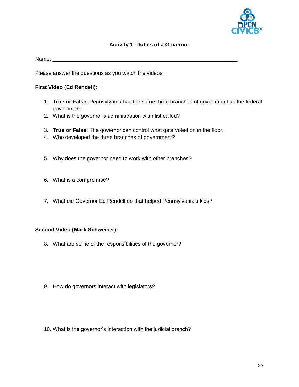

#### **Activity 1: Duties of a Governor**

<span id="page-23-0"></span>Name:  $\blacksquare$ 

Please answer the questions as you watch the videos.

#### **First Video (Ed Rendell):**

- 1. **True or False**: Pennsylvania has the same three branches of government as the federal government.
- 2. What is the governor's administration wish list called?
- 3. **True or False**: The governor can control what gets voted on in the floor.
- 4. Who developed the three branches of government?
- 5. Why does the governor need to work with other branches?
- 6. What is a compromise?
- 7. What did Governor Ed Rendell do that helped Pennsylvania's kids?

#### **Second Video (Mark Schweiker):**

- 8. What are some of the responsibilities of the governor?
- 9. How do governors interact with legislators?
- 10. What is the governor's interaction with the judicial branch?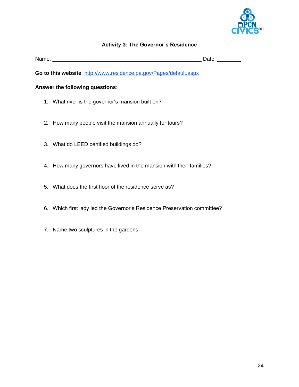

#### **Activity 3: The Governor's Residence**

<span id="page-24-0"></span>

| Name |               |
|------|---------------|
|      | Jate.<br>---- |

**Go to this website**:<http://www.residence.pa.gov/Pages/default.aspx>

#### **Answer the following questions**:

- 1. What river is the governor's mansion built on?
- 2. How many people visit the mansion annually for tours?
- 3. What do LEED certified buildings do?
- 4. How many governors have lived in the mansion with their families?
- 5. What does the first floor of the residence serve as?
- 6. Which first lady led the Governor's Residence Preservation committee?
- 7. Name two sculptures in the gardens: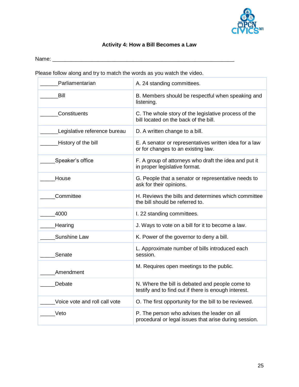

## **Activity 4: How a Bill Becomes a Law**

<span id="page-25-0"></span>Name: \_\_\_\_\_\_\_\_\_\_\_\_\_\_\_\_\_\_\_\_\_\_\_\_\_\_\_\_\_\_\_\_\_\_\_\_\_\_\_\_\_\_\_\_\_\_\_\_\_\_\_\_\_\_\_\_\_\_\_\_\_

Please follow along and try to match the words as you watch the video.

<span id="page-25-1"></span>

| Parliamentarian               | A. 24 standing committees.                                                                              |
|-------------------------------|---------------------------------------------------------------------------------------------------------|
| Bill                          | B. Members should be respectful when speaking and<br>listening.                                         |
| Constituents                  | C. The whole story of the legislative process of the<br>bill located on the back of the bill.           |
| Legislative reference bureau  | D. A written change to a bill.                                                                          |
| History of the bill           | E. A senator or representatives written idea for a law<br>or for changes to an existing law.            |
| Speaker's office              | F. A group of attorneys who draft the idea and put it<br>in proper legislative format.                  |
| House                         | G. People that a senator or representative needs to<br>ask for their opinions.                          |
| Committee                     | H. Reviews the bills and determines which committee<br>the bill should be referred to.                  |
| 4000                          | I. 22 standing committees.                                                                              |
| Hearing                       | J. Ways to vote on a bill for it to become a law.                                                       |
| Sunshine Law                  | K. Power of the governor to deny a bill.                                                                |
| Senate                        | L. Approximate number of bills introduced each<br>session.                                              |
| Amendment                     | M. Requires open meetings to the public.                                                                |
| Debate                        | N. Where the bill is debated and people come to<br>testify and to find out if there is enough interest. |
| Voice vote and roll call vote | O. The first opportunity for the bill to be reviewed.                                                   |
| Veto                          | P. The person who advises the leader on all<br>procedural or legal issues that arise during session.    |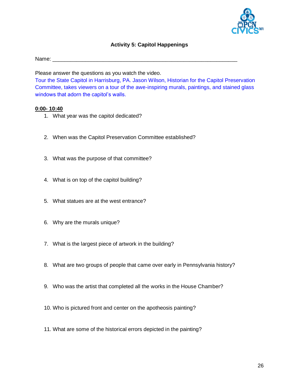

#### **Activity 5: Capitol Happenings**

Name:  $\blacksquare$ 

Please answer the questions as you watch the video.

Tour the State Capitol in Harrisburg, PA. Jason Wilson, Historian for the Capitol Preservation Committee, takes viewers on a tour of the awe-inspiring murals, paintings, and stained glass windows that adorn the capitol's walls.

#### **0:00- 10:40**

- 1. What year was the capitol dedicated?
- 2. When was the Capitol Preservation Committee established?
- 3. What was the purpose of that committee?
- 4. What is on top of the capitol building?
- 5. What statues are at the west entrance?
- 6. Why are the murals unique?
- 7. What is the largest piece of artwork in the building?
- 8. What are two groups of people that came over early in Pennsylvania history?
- 9. Who was the artist that completed all the works in the House Chamber?
- 10. Who is pictured front and center on the apotheosis painting?
- 11. What are some of the historical errors depicted in the painting?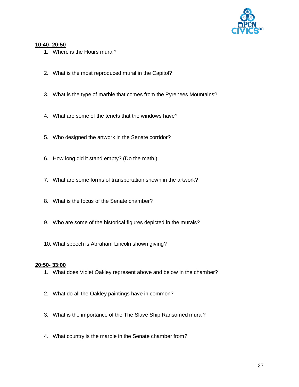

#### **10:40- 20:50**

- 1. Where is the Hours mural?
- 2. What is the most reproduced mural in the Capitol?
- 3. What is the type of marble that comes from the Pyrenees Mountains?
- 4. What are some of the tenets that the windows have?
- 5. Who designed the artwork in the Senate corridor?
- 6. How long did it stand empty? (Do the math.)
- 7. What are some forms of transportation shown in the artwork?
- 8. What is the focus of the Senate chamber?
- 9. Who are some of the historical figures depicted in the murals?
- 10. What speech is Abraham Lincoln shown giving?

#### **20:50- 33:00**

- 1. What does Violet Oakley represent above and below in the chamber?
- 2. What do all the Oakley paintings have in common?
- 3. What is the importance of the The Slave Ship Ransomed mural?
- 4. What country is the marble in the Senate chamber from?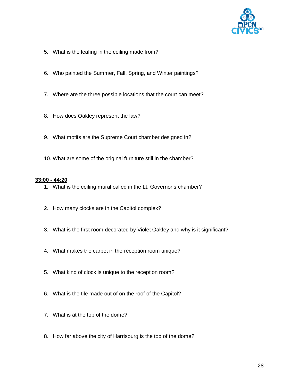

- 5. What is the leafing in the ceiling made from?
- 6. Who painted the Summer, Fall, Spring, and Winter paintings?
- 7. Where are the three possible locations that the court can meet?
- 8. How does Oakley represent the law?
- 9. What motifs are the Supreme Court chamber designed in?
- 10. What are some of the original furniture still in the chamber?

#### **33:00 - 44:20**

- 1. What is the ceiling mural called in the Lt. Governor's chamber?
- 2. How many clocks are in the Capitol complex?
- 3. What is the first room decorated by Violet Oakley and why is it significant?
- 4. What makes the carpet in the reception room unique?
- 5. What kind of clock is unique to the reception room?
- 6. What is the tile made out of on the roof of the Capitol?
- 7. What is at the top of the dome?
- 8. How far above the city of Harrisburg is the top of the dome?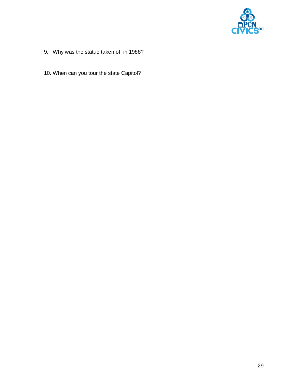

- 9. Why was the statue taken off in 1988?
- 10. When can you tour the state Capitol?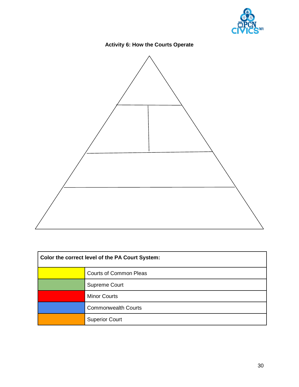

## **Activity 6: How the Courts Operate**

<span id="page-30-0"></span>

| Color the correct level of the PA Court System: |                               |  |
|-------------------------------------------------|-------------------------------|--|
|                                                 | <b>Courts of Common Pleas</b> |  |
|                                                 | Supreme Court                 |  |
|                                                 | <b>Minor Courts</b>           |  |
|                                                 | <b>Commonwealth Courts</b>    |  |
|                                                 | <b>Superior Court</b>         |  |